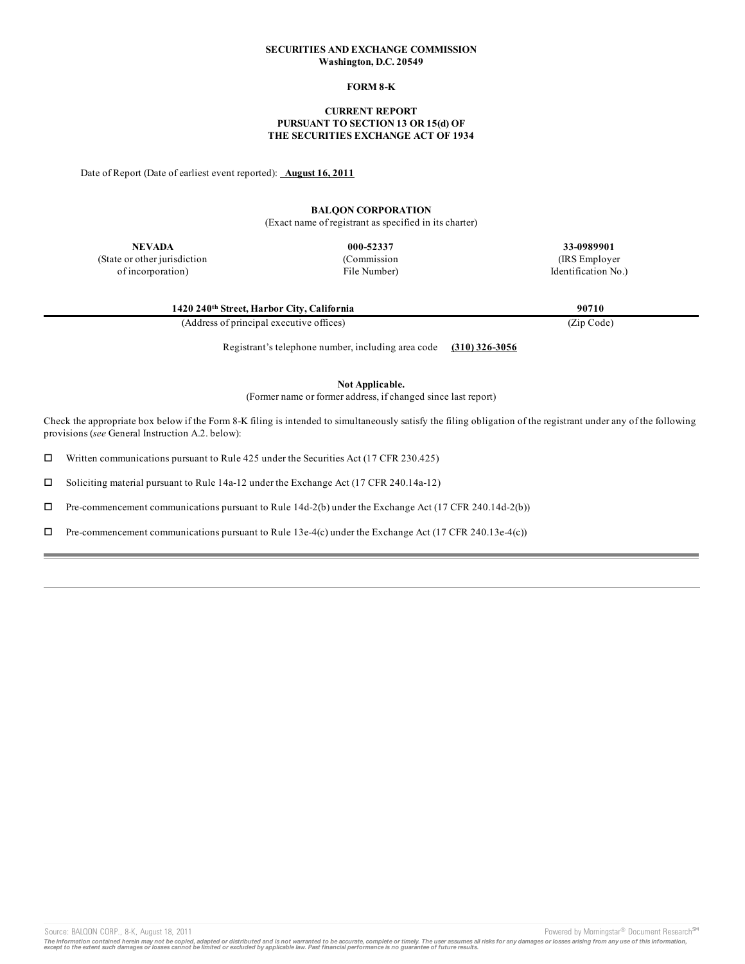#### **SECURITIES AND EXCHANGE COMMISSION Washington, D.C. 20549**

### **FORM 8-K**

#### **CURRENT REPORT PURSUANT TO SECTION 13 OR 15(d) OF THE SECURITIES EXCHANGE ACT OF 1934**

Date of Report (Date of earliest event reported): **August 16, 2011**

# **BALQON CORPORATION**

(Exact name of registrant as specified in its charter)

**NEVADA**

(State or other jurisdiction of incorporation)

**000-52337** (Commission File Number) **33-0989901**

(IRS Employer Identification No.)

| 1420 240th Street, Harbor City, California | 90710      |
|--------------------------------------------|------------|
| (Address of principal executive offices)   | (Zip Code) |

Registrant's telephone number, including area code **(310) 326-3056**

**Not Applicable.**

(Former name or former address, if changed since last report)

Check the appropriate box below if the Form 8-K filing is intended to simultaneously satisfy the filing obligation of the registrant under any of the following provisions (*see* General Instruction A.2. below):

 $\square$  Written communications pursuant to Rule 425 under the Securities Act (17 CFR 230.425)

 $\square$  Soliciting material pursuant to Rule 14a-12 under the Exchange Act (17 CFR 240.14a-12)

 $\Box$  Pre-commencement communications pursuant to Rule 14d-2(b) under the Exchange Act (17 CFR 240.14d-2(b))

 $\Box$  Pre-commencement communications pursuant to Rule 13e-4(c) under the Exchange Act (17 CFR 240.13e-4(c))

Source: BALQON CORP., 8-K, August 18, 2011 **Powered by Morningstar® Document Research** in Powered by Morningstar® Document Research in

The information contained herein may not be copied, adapted or distributed and is not warranted to be accurate, complete or timely. The user assumes all risks for any damages or losses arising from any use of this informat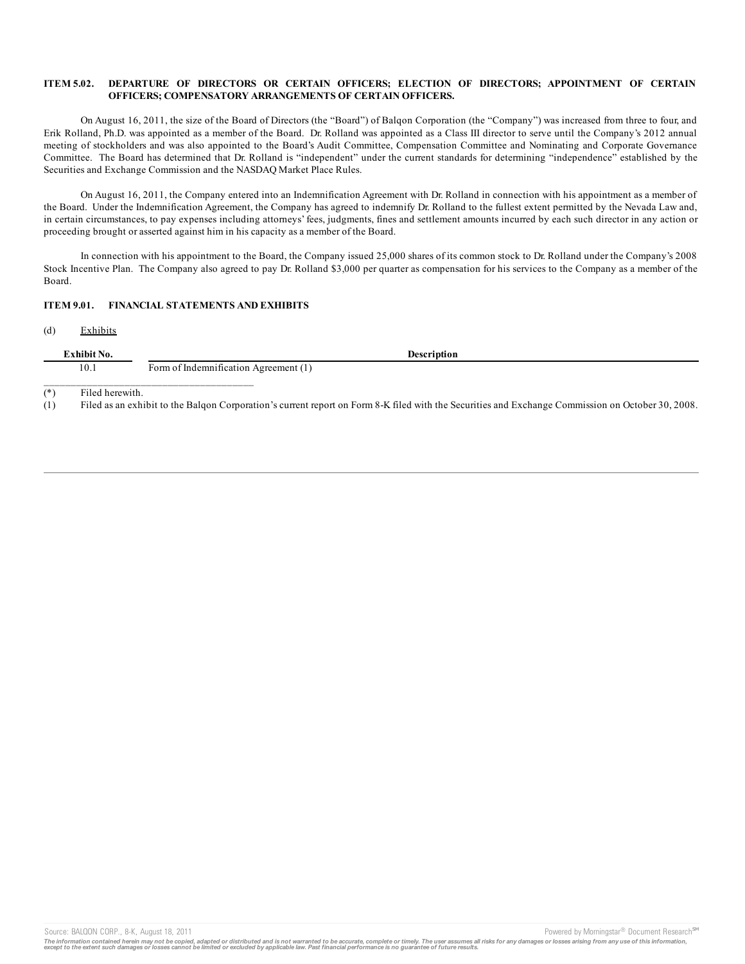#### **ITEM 5.02. DEPARTURE OF DIRECTORS OR CERTAIN OFFICERS; ELECTION OF DIRECTORS; APPOINTMENT OF CERTAIN OFFICERS; COMPENSATORY ARRANGEMENTS OF CERTAIN OFFICERS.**

On August 16, 2011, the size of the Board of Directors (the "Board") of Balqon Corporation (the "Company") was increased from three to four, and Erik Rolland, Ph.D. was appointed as a member of the Board. Dr. Rolland was appointed as a Class III director to serve until the Company's 2012 annual meeting of stockholders and was also appointed to the Board's Audit Committee, Compensation Committee and Nominating and Corporate Governance Committee. The Board has determined that Dr. Rolland is "independent" under the current standards for determining "independence" established by the Securities and Exchange Commission and the NASDAQ Market Place Rules.

On August 16, 2011, the Company entered into an Indemnification Agreement with Dr. Rolland in connection with his appointment as a member of the Board. Under the Indemnification Agreement, the Company has agreed to indemnify Dr. Rolland to the fullest extent permitted by the Nevada Law and, in certain circumstances, to pay expenses including attorneys' fees, judgments, fines and settlement amounts incurred by each such director in any action or proceeding brought or asserted against him in his capacity as a member of the Board.

In connection with his appointment to the Board, the Company issued 25,000 shares of its common stock to Dr. Rolland under the Company's 2008 Stock Incentive Plan. The Company also agreed to pay Dr. Rolland \$3,000 per quarter as compensation for his services to the Company as a member of the Board.

## **ITEM 9.01. FINANCIAL STATEMENTS AND EXHIBITS**

(d) Exhibits

| Exhibit No. |                 | Description                           |  |
|-------------|-----------------|---------------------------------------|--|
| 10.1        |                 | Form of Indemnification Agreement (1) |  |
| $(*)$       | Filed herewith. |                                       |  |

(1) Filed as an exhibit to the Balqon Corporation's current report on Form 8-K filed with the Securities and Exchange Commission on October 30, 2008.

Source: BALQON CORP., 8-K, August 18, 2011 **Powered by Morningstar® Document Research** in Powered by Morningstar® Document Research in

The information contained herein may not be copied, adapted or distributed and is not warranted to be accurate, complete or timely. The user assumes all risks for any damages or losses arising from any use of this informat